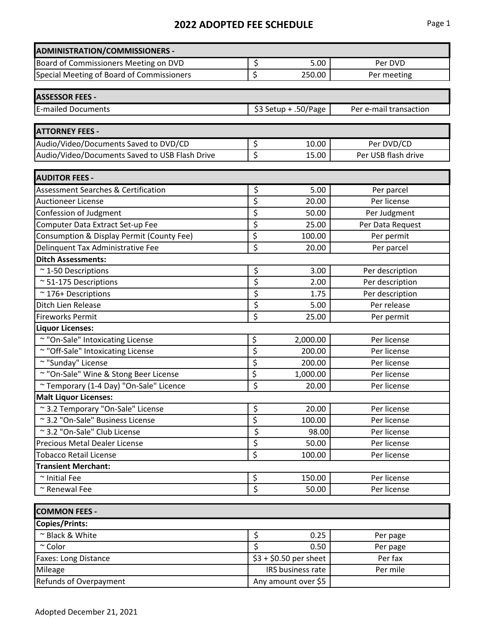| <b>ADMINISTRATION/COMMISSIONERS -</b>          |                                 |                        |                                   |  |
|------------------------------------------------|---------------------------------|------------------------|-----------------------------------|--|
| Board of Commissioners Meeting on DVD          | \$                              | 5.00                   | Per DVD                           |  |
| Special Meeting of Board of Commissioners      | \$                              | 250.00                 | Per meeting                       |  |
|                                                |                                 |                        |                                   |  |
| <b>ASSESSOR FEES -</b>                         |                                 |                        |                                   |  |
| <b>E-mailed Documents</b>                      |                                 | \$3 Setup + .50/Page   | Per e-mail transaction            |  |
| <b>ATTORNEY FEES -</b>                         |                                 |                        |                                   |  |
| Audio/Video/Documents Saved to DVD/CD          |                                 | 10.00                  |                                   |  |
| Audio/Video/Documents Saved to USB Flash Drive | \$<br>\$                        | 15.00                  | Per DVD/CD<br>Per USB flash drive |  |
|                                                |                                 |                        |                                   |  |
| <b>AUDITOR FEES -</b>                          |                                 |                        |                                   |  |
| <b>Assessment Searches &amp; Certification</b> | \$                              | 5.00                   | Per parcel                        |  |
| <b>Auctioneer License</b>                      | \$                              | 20.00                  | Per license                       |  |
| Confession of Judgment                         | \$                              | 50.00                  | Per Judgment                      |  |
| Computer Data Extract Set-up Fee               | \$                              | 25.00                  | Per Data Request                  |  |
| Consumption & Display Permit (County Fee)      | \$                              | 100.00                 | Per permit                        |  |
| Delinquent Tax Administrative Fee              | \$                              | 20.00                  | Per parcel                        |  |
| <b>Ditch Assessments:</b>                      |                                 |                        |                                   |  |
| $~\sim$ 1-50 Descriptions                      | \$                              | 3.00                   | Per description                   |  |
| $~\sim$ 51-175 Descriptions                    | \$                              | 2.00                   | Per description                   |  |
| $~\sim$ 176+ Descriptions                      | \$                              | 1.75                   | Per description                   |  |
| Ditch Lien Release                             | \$                              | 5.00                   | Per release                       |  |
| <b>Fireworks Permit</b>                        | \$                              | 25.00                  | Per permit                        |  |
| <b>Liquor Licenses:</b>                        |                                 |                        |                                   |  |
| ~ "On-Sale" Intoxicating License               | \$                              | 2,000.00               | Per license                       |  |
| ~ "Off-Sale" Intoxicating License              | \$                              | 200.00                 | Per license                       |  |
| ~ "Sunday" License                             | \$                              | 200.00                 | Per license                       |  |
| ~ "On-Sale" Wine & Stong Beer License          | \$                              | 1,000.00               | Per license                       |  |
| ~ Temporary (1-4 Day) "On-Sale" Licence        | \$                              | 20.00                  | Per license                       |  |
| <b>Malt Liquor Licenses:</b>                   |                                 |                        |                                   |  |
| ~3.2 Temporary "On-Sale" License               | \$                              | 20.00                  | Per license                       |  |
| ~3.2 "On-Sale" Business License                | \$                              | 100.00                 | Per license                       |  |
| ~3.2 "On-Sale" Club License                    | $\overline{\boldsymbol{\zeta}}$ | 98.00                  | Per license                       |  |
| Precious Metal Dealer License                  | $\overline{\xi}$                | 50.00                  | Per license                       |  |
| <b>Tobacco Retail License</b>                  | \$                              | 100.00                 | Per license                       |  |
| <b>Transient Merchant:</b>                     |                                 |                        |                                   |  |
| $\sim$ Initial Fee                             | \$                              | 150.00                 | Per license                       |  |
| ~ Renewal Fee                                  | \$                              | 50.00                  | Per license                       |  |
|                                                |                                 |                        |                                   |  |
| <b>COMMON FEES -</b>                           |                                 |                        |                                   |  |
| <b>Copies/Prints:</b>                          |                                 |                        |                                   |  |
| ~ Black & White                                | \$                              | 0.25                   | Per page                          |  |
| $~\sim$ Color                                  | \$                              | 0.50                   | Per page                          |  |
| Faxes: Long Distance                           |                                 | $$3 + $0.50$ per sheet | Per fax                           |  |
| Mileage                                        |                                 | IRS business rate      | Per mile                          |  |
| Refunds of Overpayment                         |                                 | Any amount over \$5    |                                   |  |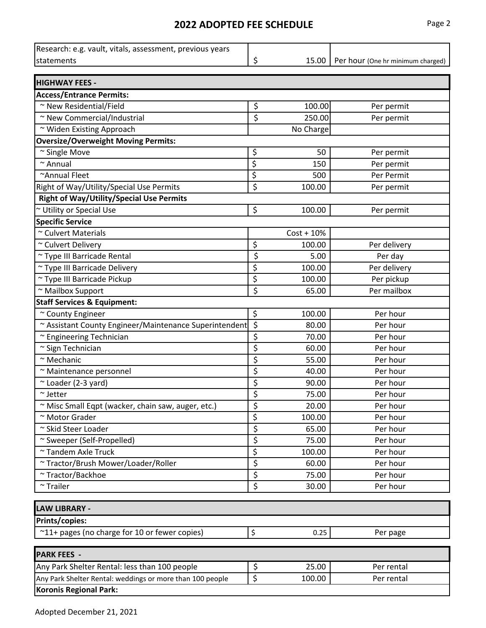| Research: e.g. vault, vitals, assessment, previous years  |          |              |                                   |  |  |
|-----------------------------------------------------------|----------|--------------|-----------------------------------|--|--|
| statements                                                | \$       | 15.00        | Per hour (One hr minimum charged) |  |  |
| <b>HIGHWAY FEES -</b>                                     |          |              |                                   |  |  |
| <b>Access/Entrance Permits:</b>                           |          |              |                                   |  |  |
| ~ New Residential/Field                                   | \$       | 100.00       | Per permit                        |  |  |
| ~ New Commercial/Industrial                               | \$       | 250.00       | Per permit                        |  |  |
| ~ Widen Existing Approach                                 |          | No Charge    |                                   |  |  |
| <b>Oversize/Overweight Moving Permits:</b>                |          |              |                                   |  |  |
| ~ Single Move                                             | \$       | 50           | Per permit                        |  |  |
| $~\sim$ Annual                                            | \$       | 150          |                                   |  |  |
| ~Annual Fleet                                             |          | 500          | Per permit<br>Per Permit          |  |  |
|                                                           | \$<br>\$ | 100.00       |                                   |  |  |
| Right of Way/Utility/Special Use Permits                  |          |              | Per permit                        |  |  |
| <b>Right of Way/Utility/Special Use Permits</b>           |          |              |                                   |  |  |
| <b>Utility or Special Use</b>                             | \$       | 100.00       | Per permit                        |  |  |
| <b>Specific Service</b><br>~ Culvert Materials            |          |              |                                   |  |  |
|                                                           |          | $Cost + 10%$ |                                   |  |  |
| ~ Culvert Delivery                                        | \$       | 100.00       | Per delivery                      |  |  |
| ~ Type III Barricade Rental                               | \$       | 5.00         | Per day                           |  |  |
| ~ Type III Barricade Delivery                             | \$       | 100.00       | Per delivery                      |  |  |
| ~ Type III Barricade Pickup                               | \$       | 100.00       | Per pickup                        |  |  |
| ~ Mailbox Support                                         | \$       | 65.00        | Per mailbox                       |  |  |
| <b>Staff Services &amp; Equipment:</b>                    |          |              |                                   |  |  |
| ~ County Engineer                                         | \$       | 100.00       | Per hour                          |  |  |
| ~ Assistant County Engineer/Maintenance Superintendent    | \$       | 80.00        | Per hour                          |  |  |
| ~ Engineering Technician                                  | \$       | 70.00        | Per hour                          |  |  |
| ~ Sign Technician                                         | \$       | 60.00        | Per hour                          |  |  |
| $~\sim$ Mechanic                                          | \$       | 55.00        | Per hour                          |  |  |
| ~ Maintenance personnel                                   | \$       | 40.00        | Per hour                          |  |  |
| ~ Loader (2-3 yard)                                       | \$       | 90.00        | Per hour                          |  |  |
| $\sim$ Jetter                                             | \$       | 75.00        | Per hour                          |  |  |
| ~ Misc Small Eqpt (wacker, chain saw, auger, etc.)        | \$       | 20.00        | Per hour                          |  |  |
| ~ Motor Grader                                            | \$       | 100.00       | Per hour                          |  |  |
| ~ Skid Steer Loader                                       | \$       | 65.00        | Per hour                          |  |  |
| ~ Sweeper (Self-Propelled)                                | \$       | 75.00        | Per hour                          |  |  |
| ~ Tandem Axle Truck                                       | \$       | 100.00       | Per hour                          |  |  |
| ~ Tractor/Brush Mower/Loader/Roller                       | \$       | 60.00        | Per hour                          |  |  |
| ~ Tractor/Backhoe                                         | \$       | 75.00        | Per hour                          |  |  |
| $~\sim$ Trailer                                           | \$       | 30.00        | Per hour                          |  |  |
| <b>LAW LIBRARY -</b>                                      |          |              |                                   |  |  |
| Prints/copies:                                            |          |              |                                   |  |  |
| ~11+ pages (no charge for 10 or fewer copies)             | \$       | 0.25         | Per page                          |  |  |
|                                                           |          |              |                                   |  |  |
| <b>PARK FEES -</b>                                        |          |              |                                   |  |  |
| Any Park Shelter Rental: less than 100 people             | \$       | 25.00        | Per rental                        |  |  |
| Any Park Shelter Rental: weddings or more than 100 people | \$       | 100.00       | Per rental                        |  |  |
| <b>Koronis Regional Park:</b>                             |          |              |                                   |  |  |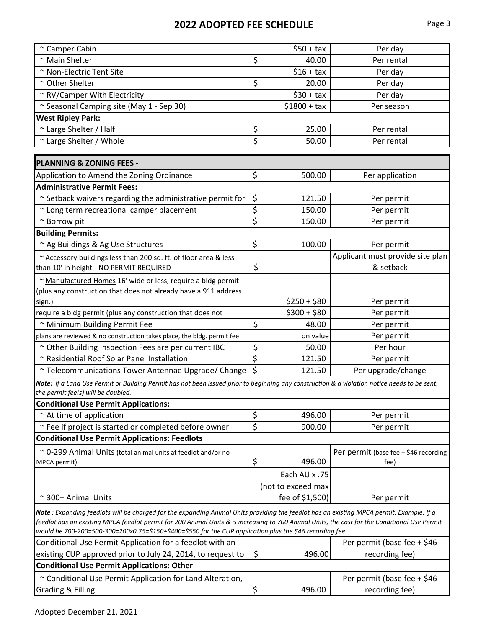| ~ Camper Cabin                                                                                                                                                                                                                                                                                                                                                                                        |         | $$50 + tax$        | Per day                               |
|-------------------------------------------------------------------------------------------------------------------------------------------------------------------------------------------------------------------------------------------------------------------------------------------------------------------------------------------------------------------------------------------------------|---------|--------------------|---------------------------------------|
| ~ Main Shelter                                                                                                                                                                                                                                                                                                                                                                                        | \$      | 40.00              | Per rental                            |
| ~ Non-Electric Tent Site                                                                                                                                                                                                                                                                                                                                                                              |         | $$16 + tax$        | Per day                               |
| ~ Other Shelter                                                                                                                                                                                                                                                                                                                                                                                       | \$      | 20.00              | Per day                               |
| ~ RV/Camper With Electricity                                                                                                                                                                                                                                                                                                                                                                          |         | $$30 + tax$        | Per day                               |
| ~ Seasonal Camping site (May 1 - Sep 30)                                                                                                                                                                                                                                                                                                                                                              |         | $$1800 + tax$      | Per season                            |
| <b>West Ripley Park:</b>                                                                                                                                                                                                                                                                                                                                                                              |         |                    |                                       |
| ~ Large Shelter / Half                                                                                                                                                                                                                                                                                                                                                                                | \$      | 25.00              | Per rental                            |
| ~ Large Shelter / Whole                                                                                                                                                                                                                                                                                                                                                                               | \$      | 50.00              | Per rental                            |
|                                                                                                                                                                                                                                                                                                                                                                                                       |         |                    |                                       |
| <b>PLANNING &amp; ZONING FEES -</b>                                                                                                                                                                                                                                                                                                                                                                   |         |                    |                                       |
| Application to Amend the Zoning Ordinance                                                                                                                                                                                                                                                                                                                                                             | \$      | 500.00             | Per application                       |
| <b>Administrative Permit Fees:</b>                                                                                                                                                                                                                                                                                                                                                                    |         |                    |                                       |
| ~ Setback waivers regarding the administrative permit for                                                                                                                                                                                                                                                                                                                                             | \$      | 121.50             | Per permit                            |
| ~ Long term recreational camper placement                                                                                                                                                                                                                                                                                                                                                             | \$      | 150.00             | Per permit                            |
| ~ Borrow pit                                                                                                                                                                                                                                                                                                                                                                                          | \$      | 150.00             | Per permit                            |
| <b>Building Permits:</b>                                                                                                                                                                                                                                                                                                                                                                              |         |                    |                                       |
| ~ Ag Buildings & Ag Use Structures                                                                                                                                                                                                                                                                                                                                                                    | \$      | 100.00             | Per permit                            |
| ~ Accessory buildings less than 200 sq. ft. of floor area & less                                                                                                                                                                                                                                                                                                                                      |         |                    | Applicant must provide site plan      |
| than 10' in height - NO PERMIT REQUIRED                                                                                                                                                                                                                                                                                                                                                               | \$      |                    | & setback                             |
| ~ Manufactured Homes 16' wide or less, require a bldg permit                                                                                                                                                                                                                                                                                                                                          |         |                    |                                       |
| (plus any construction that does not already have a 911 address                                                                                                                                                                                                                                                                                                                                       |         |                    |                                       |
| sign.)                                                                                                                                                                                                                                                                                                                                                                                                |         | $$250 + $80$       | Per permit                            |
| require a bldg permit (plus any construction that does not                                                                                                                                                                                                                                                                                                                                            |         | $$300 + $80$       | Per permit                            |
| ~ Minimum Building Permit Fee                                                                                                                                                                                                                                                                                                                                                                         | \$      | 48.00              | Per permit                            |
| plans are reviewed & no construction takes place, the bldg. permit fee                                                                                                                                                                                                                                                                                                                                |         | on value           | Per permit                            |
| ~ Other Building Inspection Fees are per current IBC                                                                                                                                                                                                                                                                                                                                                  | \$      | 50.00              | Per hour                              |
| ~ Residential Roof Solar Panel Installation                                                                                                                                                                                                                                                                                                                                                           | \$      | 121.50             | Per permit                            |
| ~ Telecommunications Tower Antennae Upgrade/ Change                                                                                                                                                                                                                                                                                                                                                   | $\zeta$ | 121.50             | Per upgrade/change                    |
| Note: If a Land Use Permit or Building Permit has not been issued prior to beginning any construction & a violation notice needs to be sent,<br>the permit fee(s) will be doubled.                                                                                                                                                                                                                    |         |                    |                                       |
| <b>Conditional Use Permit Applications:</b>                                                                                                                                                                                                                                                                                                                                                           |         |                    |                                       |
| $\sim$ At time of application                                                                                                                                                                                                                                                                                                                                                                         | \$      | 496.00             | Per permit                            |
| ~ Fee if project is started or completed before owner                                                                                                                                                                                                                                                                                                                                                 | \$      | 900.00             | Per permit                            |
| <b>Conditional Use Permit Applications: Feedlots</b>                                                                                                                                                                                                                                                                                                                                                  |         |                    |                                       |
| ~ 0-299 Animal Units (total animal units at feedlot and/or no                                                                                                                                                                                                                                                                                                                                         |         |                    | Per permit (base fee + \$46 recording |
| MPCA permit)                                                                                                                                                                                                                                                                                                                                                                                          | \$      | 496.00             | fee)                                  |
|                                                                                                                                                                                                                                                                                                                                                                                                       |         | Each AU x .75      |                                       |
|                                                                                                                                                                                                                                                                                                                                                                                                       |         | (not to exceed max |                                       |
| ~300+ Animal Units                                                                                                                                                                                                                                                                                                                                                                                    |         | fee of \$1,500)    | Per permit                            |
| Note: Expanding feedlots will be charged for the expanding Animal Units providing the feedlot has an existing MPCA permit. Example: If a<br>feedlot has an existing MPCA feedlot permit for 200 Animal Units & is increasing to 700 Animal Units, the cost for the Conditional Use Permit<br>would be 700-200=500-300=200x0.75=\$150+\$400=\$550 for the CUP application plus the \$46 recording fee. |         |                    |                                       |
| Conditional Use Permit Application for a feedlot with an                                                                                                                                                                                                                                                                                                                                              |         |                    | Per permit (base fee + \$46           |
| existing CUP approved prior to July 24, 2014, to request to                                                                                                                                                                                                                                                                                                                                           | \$      | 496.00             | recording fee)                        |
| <b>Conditional Use Permit Applications: Other</b>                                                                                                                                                                                                                                                                                                                                                     |         |                    |                                       |
| ~ Conditional Use Permit Application for Land Alteration,                                                                                                                                                                                                                                                                                                                                             |         |                    | Per permit (base fee + \$46           |
| <b>Grading &amp; Filling</b>                                                                                                                                                                                                                                                                                                                                                                          | \$      | 496.00             | recording fee)                        |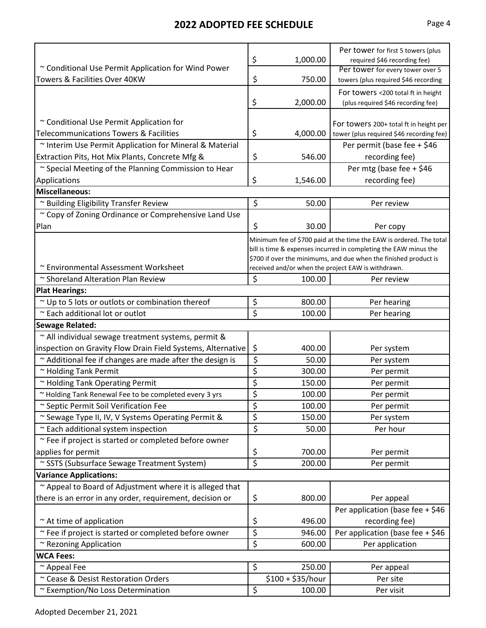|                                                             |                  | 1,000.00          | Per tower for first 5 towers (plus                                  |  |
|-------------------------------------------------------------|------------------|-------------------|---------------------------------------------------------------------|--|
| ~ Conditional Use Permit Application for Wind Power         | \$               |                   | required \$46 recording fee)<br>Per tower for every tower over 5    |  |
| Towers & Facilities Over 40KW                               | \$               | 750.00            | towers (plus required \$46 recording                                |  |
|                                                             |                  |                   | For towers <200 total ft in height                                  |  |
|                                                             | \$               | 2,000.00          | (plus required \$46 recording fee)                                  |  |
|                                                             |                  |                   |                                                                     |  |
| ~ Conditional Use Permit Application for                    |                  |                   | For towers 200+ total ft in height per                              |  |
| <b>Telecommunications Towers &amp; Facilities</b>           | \$               | 4,000.00          | tower (plus required \$46 recording fee)                            |  |
| ~ Interim Use Permit Application for Mineral & Material     |                  |                   | Per permit (base fee + \$46                                         |  |
| Extraction Pits, Hot Mix Plants, Concrete Mfg &             | \$               | 546.00            | recording fee)                                                      |  |
| ~ Special Meeting of the Planning Commission to Hear        |                  |                   | Per mtg (base fee + \$46                                            |  |
| Applications                                                | \$               | 1,546.00          | recording fee)                                                      |  |
| <b>Miscellaneous:</b>                                       |                  |                   |                                                                     |  |
| ~ Building Eligibility Transfer Review                      | \$               | 50.00             | Per review                                                          |  |
| ~ Copy of Zoning Ordinance or Comprehensive Land Use        |                  |                   |                                                                     |  |
| Plan                                                        | \$               | 30.00             | Per copy                                                            |  |
|                                                             |                  |                   | Minimum fee of \$700 paid at the time the EAW is ordered. The total |  |
|                                                             |                  |                   | bill is time & expenses incurred in completing the EAW minus the    |  |
|                                                             |                  |                   | \$700 if over the minimums, and due when the finished product is    |  |
| ~ Environmental Assessment Worksheet                        |                  |                   | received and/or when the project EAW is withdrawn.                  |  |
| ~ Shoreland Alteration Plan Review                          | \$               | 100.00            | Per review                                                          |  |
| <b>Plat Hearings:</b>                                       |                  |                   |                                                                     |  |
| ~ Up to 5 lots or outlots or combination thereof            | \$               | 800.00            | Per hearing                                                         |  |
| ~ Each additional lot or outlot                             | \$               | 100.00            | Per hearing                                                         |  |
| <b>Sewage Related:</b>                                      |                  |                   |                                                                     |  |
| ~ All individual sewage treatment systems, permit &         |                  |                   |                                                                     |  |
| inspection on Gravity Flow Drain Field Systems, Alternative | \$               | 400.00            | Per system                                                          |  |
| ~ Additional fee if changes are made after the design is    | \$               | 50.00             | Per system                                                          |  |
| ~ Holding Tank Permit                                       | \$               | 300.00            | Per permit                                                          |  |
| ~ Holding Tank Operating Permit                             | \$               | 150.00            | Per permit                                                          |  |
| ~ Holding Tank Renewal Fee to be completed every 3 yrs      | \$               | 100.00            | Per permit                                                          |  |
| ~ Septic Permit Soil Verification Fee                       | \$               | 100.00            | Per permit                                                          |  |
| ~ Sewage Type II, IV, V Systems Operating Permit &          | \$               | 150.00            | Per system                                                          |  |
| ~ Each additional system inspection                         | \$               | 50.00             | Per hour                                                            |  |
| ~ Fee if project is started or completed before owner       |                  |                   |                                                                     |  |
| applies for permit                                          | \$               | 700.00            | Per permit                                                          |  |
| ~ SSTS (Subsurface Sewage Treatment System)                 | $\overline{\xi}$ | 200.00            | Per permit                                                          |  |
| <b>Variance Applications:</b>                               |                  |                   |                                                                     |  |
| ~ Appeal to Board of Adjustment where it is alleged that    |                  |                   |                                                                     |  |
| there is an error in any order, requirement, decision or    | \$               | 800.00            | Per appeal                                                          |  |
|                                                             |                  |                   | Per application (base fee + \$46                                    |  |
| $\sim$ At time of application                               | \$               | 496.00            | recording fee)                                                      |  |
| ~ Fee if project is started or completed before owner       | \$               | 946.00            | Per application (base fee + \$46                                    |  |
| ~ Rezoning Application                                      | \$               | 600.00            | Per application                                                     |  |
| <b>WCA Fees:</b>                                            |                  |                   |                                                                     |  |
| ~ Appeal Fee                                                | \$               | 250.00            | Per appeal                                                          |  |
| ~ Cease & Desist Restoration Orders                         |                  | $$100 + $35/hour$ | Per site                                                            |  |
| ~ Exemption/No Loss Determination                           | $\zeta$          | 100.00            | Per visit                                                           |  |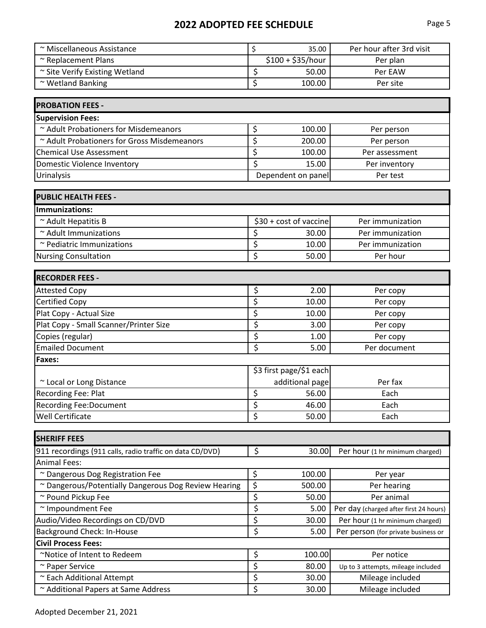| ~ Miscellaneous Assistance                               | \$                              | 35.00                   | Per hour after 3rd visit               |
|----------------------------------------------------------|---------------------------------|-------------------------|----------------------------------------|
| ~ Replacement Plans                                      |                                 | $$100 + $35/hour$       | Per plan                               |
| ~ Site Verify Existing Wetland                           | \$                              | 50.00                   | Per EAW                                |
| ~ Wetland Banking                                        | \$                              | 100.00                  | Per site                               |
|                                                          |                                 |                         |                                        |
| <b>PROBATION FEES -</b>                                  |                                 |                         |                                        |
| <b>Supervision Fees:</b>                                 |                                 |                         |                                        |
| ~ Adult Probationers for Misdemeanors                    | \$                              | 100.00                  | Per person                             |
| ~ Adult Probationers for Gross Misdemeanors              | \$                              | 200.00                  | Per person                             |
| <b>Chemical Use Assessment</b>                           | \$                              | 100.00                  | Per assessment                         |
| Domestic Violence Inventory                              | \$                              | 15.00                   | Per inventory                          |
| Urinalysis                                               | Dependent on panel<br>Per test  |                         |                                        |
| <b>PUBLIC HEALTH FEES -</b>                              |                                 |                         |                                        |
| <b>Immunizations:</b>                                    |                                 |                         |                                        |
| ~ Adult Hepatitis B                                      |                                 | \$30 + cost of vaccine  | Per immunization                       |
| ~ Adult Immunizations                                    | \$                              | 30.00                   | Per immunization                       |
| ~ Pediatric Immunizations                                | \$                              | 10.00                   | Per immunization                       |
| <b>Nursing Consultation</b>                              | \$                              | 50.00                   | Per hour                               |
|                                                          |                                 |                         |                                        |
| <b>RECORDER FEES -</b>                                   |                                 |                         |                                        |
| <b>Attested Copy</b>                                     | $\overline{\mathcal{S}}$        | 2.00                    | Per copy                               |
| <b>Certified Copy</b>                                    | \$                              | 10.00                   | Per copy                               |
| Plat Copy - Actual Size                                  | \$                              | 10.00                   | Per copy                               |
| Plat Copy - Small Scanner/Printer Size                   | \$                              | 3.00                    | Per copy                               |
| Copies (regular)                                         | \$                              | 1.00                    | Per copy                               |
| <b>Emailed Document</b>                                  | $\overline{\boldsymbol{\zeta}}$ | 5.00                    | Per document                           |
| Faxes:                                                   |                                 |                         |                                        |
|                                                          |                                 | \$3 first page/\$1 each |                                        |
| ~ Local or Long Distance                                 |                                 | additional page         | Per fax                                |
| <b>Recording Fee: Plat</b>                               | \$                              | 56.00                   | Each                                   |
| <b>Recording Fee:Document</b>                            | \$                              | 46.00                   | Each                                   |
| <b>Well Certificate</b>                                  | \$                              | 50.00                   | Each                                   |
| <b>SHERIFF FEES</b>                                      |                                 |                         |                                        |
| 911 recordings (911 calls, radio traffic on data CD/DVD) | \$                              | 30.00                   | Per hour (1 hr minimum charged)        |
| <b>Animal Fees:</b>                                      |                                 |                         |                                        |
| ~ Dangerous Dog Registration Fee                         | \$                              | 100.00                  | Per year                               |
| ~ Dangerous/Potentially Dangerous Dog Review Hearing     | \$                              | 500.00                  | Per hearing                            |
| ~ Pound Pickup Fee                                       | \$                              | 50.00                   | Per animal                             |
| ~ Impoundment Fee                                        | \$                              | 5.00                    | Per day (charged after first 24 hours) |
| Audio/Video Recordings on CD/DVD                         | \$                              | 30.00                   | Per hour (1 hr minimum charged)        |
| Background Check: In-House                               | \$                              | 5.00                    | Per person (for private business or    |
| <b>Civil Process Fees:</b>                               |                                 |                         |                                        |
| ~Notice of Intent to Redeem                              | \$                              | 100.00                  | Per notice                             |
| ~ Paper Service                                          | \$                              | 80.00                   | Up to 3 attempts, mileage included     |
| ~ Each Additional Attempt                                | \$                              | 30.00                   | Mileage included                       |
| ~ Additional Papers at Same Address                      | \$                              | 30.00                   | Mileage included                       |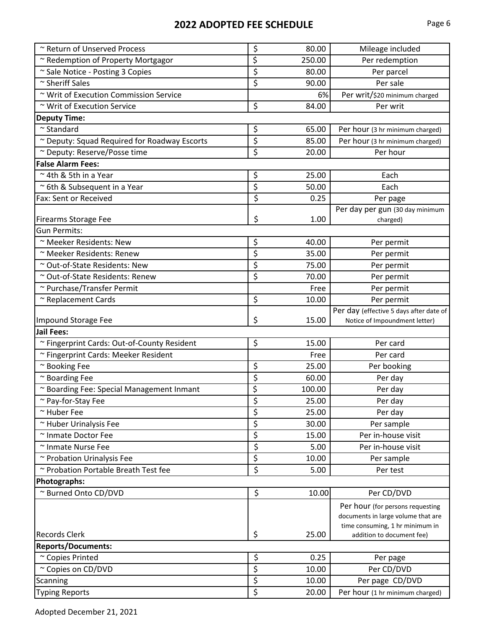| ~ Return of Unserved Process                 | \$                              | 80.00  | Mileage included                        |
|----------------------------------------------|---------------------------------|--------|-----------------------------------------|
| ~ Redemption of Property Mortgagor           | \$                              | 250.00 | Per redemption                          |
| ~ Sale Notice - Posting 3 Copies             | \$                              | 80.00  | Per parcel                              |
| ~ Sheriff Sales                              | $\overline{\xi}$                | 90.00  | Per sale                                |
| ~ Writ of Execution Commission Service       |                                 | 6%     | Per writ/\$20 minimum charged           |
| ~ Writ of Execution Service                  | \$                              | 84.00  | Per writ                                |
| <b>Deputy Time:</b>                          |                                 |        |                                         |
| $\sim$ Standard                              | \$                              | 65.00  | Per hour (3 hr minimum charged)         |
| ~ Deputy: Squad Required for Roadway Escorts | \$                              | 85.00  | Per hour (3 hr minimum charged)         |
| ~ Deputy: Reserve/Posse time                 | \$                              | 20.00  | Per hour                                |
| <b>False Alarm Fees:</b>                     |                                 |        |                                         |
| ~4th & 5th in a Year                         | \$                              | 25.00  | Each                                    |
| ~ 6th & Subsequent in a Year                 | \$                              | 50.00  | Each                                    |
| Fax: Sent or Received                        | \$                              | 0.25   | Per page                                |
|                                              |                                 |        | Per day per gun (30 day minimum         |
| <b>Firearms Storage Fee</b>                  | \$                              | 1.00   | charged)                                |
| <b>Gun Permits:</b>                          |                                 |        |                                         |
| ~ Meeker Residents: New                      | \$                              | 40.00  | Per permit                              |
| ~ Meeker Residents: Renew                    | \$                              | 35.00  | Per permit                              |
| ~ Out-of-State Residents: New                | \$                              | 75.00  | Per permit                              |
| ~ Out-of-State Residents: Renew              | \$                              | 70.00  | Per permit                              |
| ~ Purchase/Transfer Permit                   |                                 | Free   | Per permit                              |
| ~ Replacement Cards                          | \$                              | 10.00  | Per permit                              |
|                                              |                                 |        | Per day (effective 5 days after date of |
| <b>Impound Storage Fee</b>                   | \$                              | 15.00  | Notice of Impoundment letter)           |
| <b>Jail Fees:</b>                            |                                 |        |                                         |
| ~ Fingerprint Cards: Out-of-County Resident  | \$                              | 15.00  | Per card                                |
| ~ Fingerprint Cards: Meeker Resident         |                                 | Free   | Per card                                |
| ~ Booking Fee                                | \$                              | 25.00  | Per booking                             |
| ~ Boarding Fee                               | \$                              | 60.00  | Per day                                 |
| ~ Boarding Fee: Special Management Inmant    | \$                              | 100.00 | Per day                                 |
| ~ Pay-for-Stay Fee                           | \$                              | 25.00  | Per day                                 |
| ~ Huber Fee                                  | $\overline{\xi}$                | 25.00  | Per day                                 |
| ~ Huber Urinalysis Fee                       | \$                              | 30.00  | Per sample                              |
| ~ Inmate Doctor Fee                          | $\overline{\xi}$                | 15.00  | Per in-house visit                      |
| ~ Inmate Nurse Fee                           | \$                              | 5.00   | Per in-house visit                      |
| ~ Probation Urinalysis Fee                   | $\overline{\xi}$                | 10.00  | Per sample                              |
| ~ Probation Portable Breath Test fee         | \$                              | 5.00   | Per test                                |
| Photographs:                                 |                                 |        |                                         |
| ~ Burned Onto CD/DVD                         | \$                              | 10.00  | Per CD/DVD                              |
|                                              |                                 |        | Per hour (for persons requesting        |
|                                              |                                 |        | documents in large volume that are      |
|                                              |                                 |        | time consuming, 1 hr minimum in         |
| <b>Records Clerk</b>                         | \$                              | 25.00  | addition to document fee)               |
| <b>Reports/Documents:</b>                    |                                 |        |                                         |
| ~ Copies Printed                             | \$                              | 0.25   | Per page                                |
| ~ Copies on CD/DVD                           | $\overline{\boldsymbol{\zeta}}$ | 10.00  | Per CD/DVD                              |
| Scanning                                     | \$                              | 10.00  | Per page CD/DVD                         |
| <b>Typing Reports</b>                        | $\overline{\xi}$                | 20.00  | Per hour (1 hr minimum charged)         |

Adopted December 21, 2021